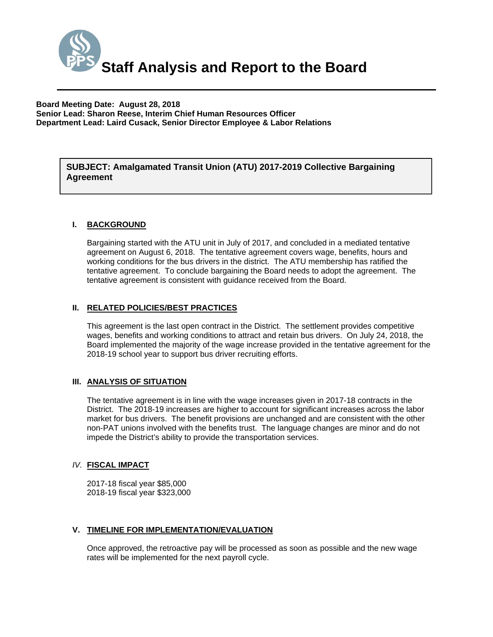

**Board Meeting Date: August 28, 2018 Senior Lead: Sharon Reese, Interim Chief Human Resources Officer Department Lead: Laird Cusack, Senior Director Employee & Labor Relations** 

*(Use this section to briefly explain the item—2-3 sentences)*  **SUBJECT: Amalgamated Transit Union (ATU) 2017-2019 Collective Bargaining Agreement** 

#### **I. BACKGROUND**

Bargaining started with the ATU unit in July of 2017, and concluded in a mediated tentative agreement on August 6, 2018. The tentative agreement covers wage, benefits, hours and working conditions for the bus drivers in the district. The ATU membership has ratified the tentative agreement. To conclude bargaining the Board needs to adopt the agreement. The tentative agreement is consistent with guidance received from the Board.

#### **II. RELATED POLICIES/BEST PRACTICES**

This agreement is the last open contract in the District. The settlement provides competitive wages, benefits and working conditions to attract and retain bus drivers. On July 24, 2018, the Board implemented the majority of the wage increase provided in the tentative agreement for the 2018-19 school year to support bus driver recruiting efforts.

#### **III. ANALYSIS OF SITUATION**

The tentative agreement is in line with the wage increases given in 2017-18 contracts in the District. The 2018-19 increases are higher to account for significant increases across the labor market for bus drivers. The benefit provisions are unchanged and are consistent with the other non-PAT unions involved with the benefits trust. The language changes are minor and do not impede the District's ability to provide the transportation services.

#### *IV.* **FISCAL IMPACT**

2017-18 fiscal year \$85,000 2018-19 fiscal year \$323,000

#### **V. TIMELINE FOR IMPLEMENTATION/EVALUATION**

Once approved, the retroactive pay will be processed as soon as possible and the new wage rates will be implemented for the next payroll cycle.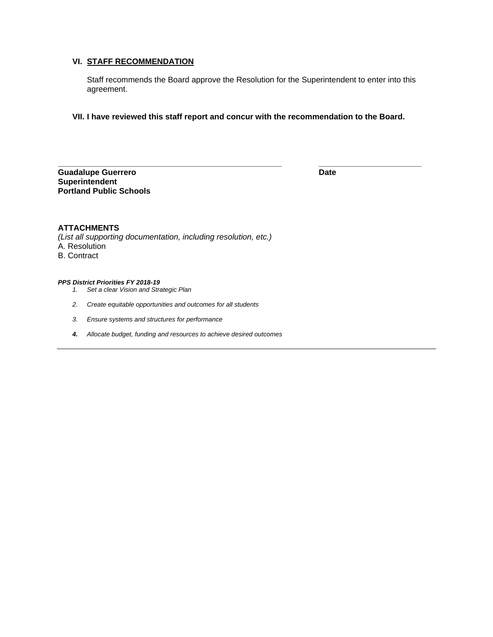## **VI. STAFF RECOMMENDATION**

Staff recommends the Board approve the Resolution for the Superintendent to enter into this agreement.

**VII. I have reviewed this staff report and concur with the recommendation to the Board.** 

**\_\_\_\_\_\_\_\_\_\_\_\_\_\_\_\_\_\_\_\_\_\_\_\_\_\_\_\_\_\_\_\_\_\_\_\_\_\_\_\_\_\_\_\_\_\_\_\_\_\_ \_\_\_\_\_\_\_\_\_\_\_\_\_\_\_\_\_\_\_\_\_\_\_** 

**Guadalupe Guerrero Date Superintendent Portland Public Schools** 

#### **ATTACHMENTS**

*(List all supporting documentation, including resolution, etc.)*  A. Resolution B. Contract

#### *PPS District Priorities FY 2018-19*

- *1. Set a clear Vision and Strategic Plan*
- *2. Create equitable opportunities and outcomes for all students*
- *3. Ensure systems and structures for performance*
- *4. Allocate budget, funding and resources to achieve desired outcomes*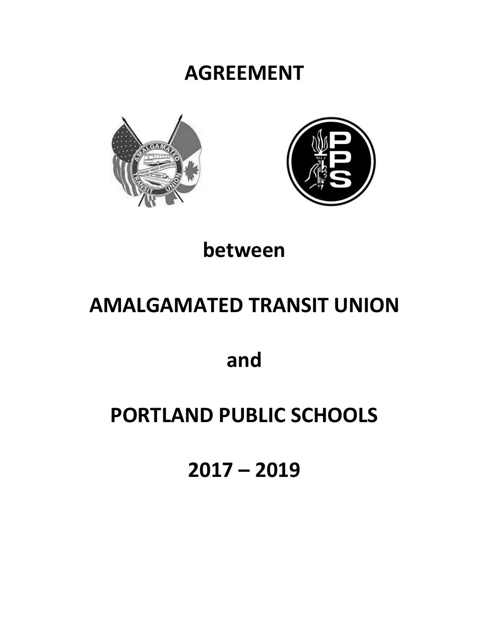## **AGREEMENT**





## **between**

# **AMALGAMATED TRANSIT UNION**

**and**

## **PORTLAND PUBLIC SCHOOLS**

**2017 – 2019**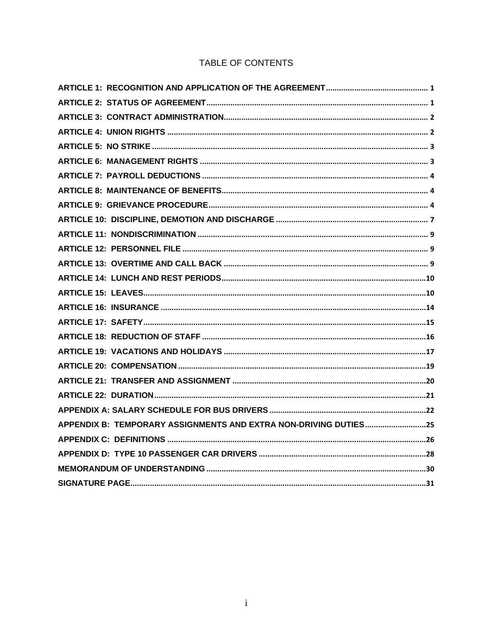## TABLE OF CONTENTS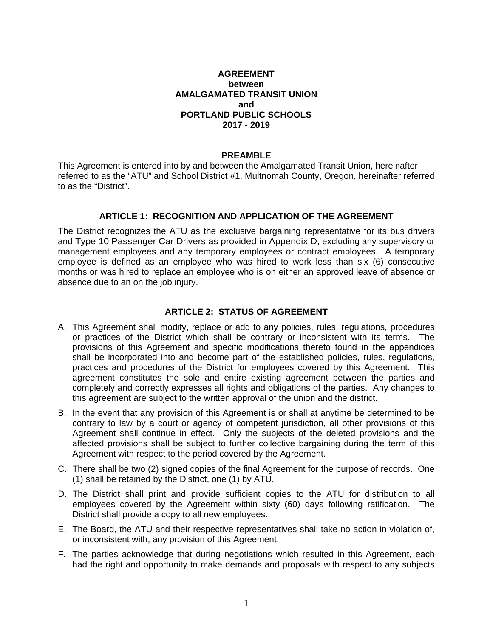#### **AGREEMENT between AMALGAMATED TRANSIT UNION and PORTLAND PUBLIC SCHOOLS 2017 - 2019**

#### **PREAMBLE**

This Agreement is entered into by and between the Amalgamated Transit Union, hereinafter referred to as the "ATU" and School District #1, Multnomah County, Oregon, hereinafter referred to as the "District".

#### **ARTICLE 1: RECOGNITION AND APPLICATION OF THE AGREEMENT**

The District recognizes the ATU as the exclusive bargaining representative for its bus drivers and Type 10 Passenger Car Drivers as provided in Appendix D, excluding any supervisory or management employees and any temporary employees or contract employees. A temporary employee is defined as an employee who was hired to work less than six (6) consecutive months or was hired to replace an employee who is on either an approved leave of absence or absence due to an on the job injury.

#### **ARTICLE 2: STATUS OF AGREEMENT**

- A. This Agreement shall modify, replace or add to any policies, rules, regulations, procedures or practices of the District which shall be contrary or inconsistent with its terms. The provisions of this Agreement and specific modifications thereto found in the appendices shall be incorporated into and become part of the established policies, rules, regulations, practices and procedures of the District for employees covered by this Agreement. This agreement constitutes the sole and entire existing agreement between the parties and completely and correctly expresses all rights and obligations of the parties. Any changes to this agreement are subject to the written approval of the union and the district.
- B. In the event that any provision of this Agreement is or shall at anytime be determined to be contrary to law by a court or agency of competent jurisdiction, all other provisions of this Agreement shall continue in effect. Only the subjects of the deleted provisions and the affected provisions shall be subject to further collective bargaining during the term of this Agreement with respect to the period covered by the Agreement.
- C. There shall be two (2) signed copies of the final Agreement for the purpose of records. One (1) shall be retained by the District, one (1) by ATU.
- D. The District shall print and provide sufficient copies to the ATU for distribution to all employees covered by the Agreement within sixty (60) days following ratification. The District shall provide a copy to all new employees.
- E. The Board, the ATU and their respective representatives shall take no action in violation of, or inconsistent with, any provision of this Agreement.
- F. The parties acknowledge that during negotiations which resulted in this Agreement, each had the right and opportunity to make demands and proposals with respect to any subjects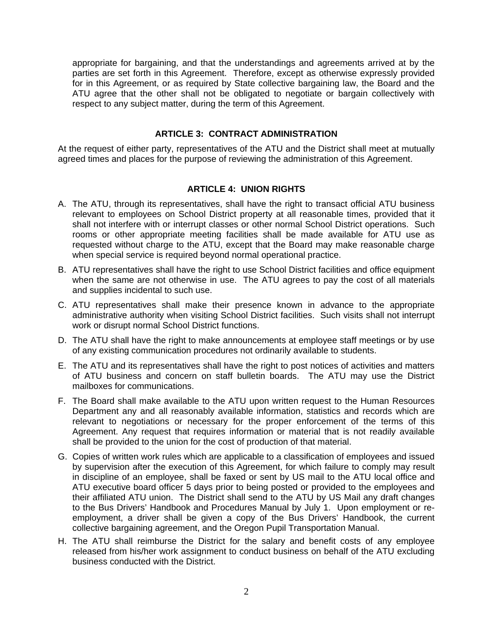appropriate for bargaining, and that the understandings and agreements arrived at by the parties are set forth in this Agreement. Therefore, except as otherwise expressly provided for in this Agreement, or as required by State collective bargaining law, the Board and the ATU agree that the other shall not be obligated to negotiate or bargain collectively with respect to any subject matter, during the term of this Agreement.

#### **ARTICLE 3: CONTRACT ADMINISTRATION**

At the request of either party, representatives of the ATU and the District shall meet at mutually agreed times and places for the purpose of reviewing the administration of this Agreement.

#### **ARTICLE 4: UNION RIGHTS**

- A. The ATU, through its representatives, shall have the right to transact official ATU business relevant to employees on School District property at all reasonable times, provided that it shall not interfere with or interrupt classes or other normal School District operations. Such rooms or other appropriate meeting facilities shall be made available for ATU use as requested without charge to the ATU, except that the Board may make reasonable charge when special service is required beyond normal operational practice.
- B. ATU representatives shall have the right to use School District facilities and office equipment when the same are not otherwise in use. The ATU agrees to pay the cost of all materials and supplies incidental to such use.
- C. ATU representatives shall make their presence known in advance to the appropriate administrative authority when visiting School District facilities. Such visits shall not interrupt work or disrupt normal School District functions.
- D. The ATU shall have the right to make announcements at employee staff meetings or by use of any existing communication procedures not ordinarily available to students.
- E. The ATU and its representatives shall have the right to post notices of activities and matters of ATU business and concern on staff bulletin boards. The ATU may use the District mailboxes for communications.
- F. The Board shall make available to the ATU upon written request to the Human Resources Department any and all reasonably available information, statistics and records which are relevant to negotiations or necessary for the proper enforcement of the terms of this Agreement. Any request that requires information or material that is not readily available shall be provided to the union for the cost of production of that material.
- G. Copies of written work rules which are applicable to a classification of employees and issued by supervision after the execution of this Agreement, for which failure to comply may result in discipline of an employee, shall be faxed or sent by US mail to the ATU local office and ATU executive board officer 5 days prior to being posted or provided to the employees and their affiliated ATU union. The District shall send to the ATU by US Mail any draft changes to the Bus Drivers' Handbook and Procedures Manual by July 1. Upon employment or reemployment, a driver shall be given a copy of the Bus Drivers' Handbook, the current collective bargaining agreement, and the Oregon Pupil Transportation Manual.
- H. The ATU shall reimburse the District for the salary and benefit costs of any employee released from his/her work assignment to conduct business on behalf of the ATU excluding business conducted with the District.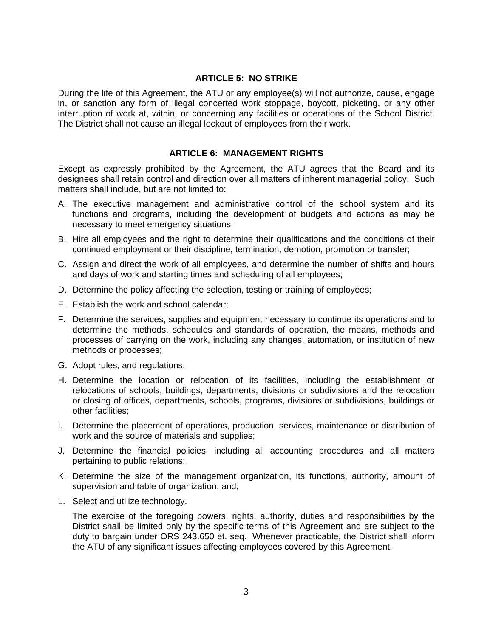#### **ARTICLE 5: NO STRIKE**

During the life of this Agreement, the ATU or any employee(s) will not authorize, cause, engage in, or sanction any form of illegal concerted work stoppage, boycott, picketing, or any other interruption of work at, within, or concerning any facilities or operations of the School District. The District shall not cause an illegal lockout of employees from their work.

#### **ARTICLE 6: MANAGEMENT RIGHTS**

Except as expressly prohibited by the Agreement, the ATU agrees that the Board and its designees shall retain control and direction over all matters of inherent managerial policy. Such matters shall include, but are not limited to:

- A. The executive management and administrative control of the school system and its functions and programs, including the development of budgets and actions as may be necessary to meet emergency situations;
- B. Hire all employees and the right to determine their qualifications and the conditions of their continued employment or their discipline, termination, demotion, promotion or transfer;
- C. Assign and direct the work of all employees, and determine the number of shifts and hours and days of work and starting times and scheduling of all employees;
- D. Determine the policy affecting the selection, testing or training of employees;
- E. Establish the work and school calendar;
- F. Determine the services, supplies and equipment necessary to continue its operations and to determine the methods, schedules and standards of operation, the means, methods and processes of carrying on the work, including any changes, automation, or institution of new methods or processes;
- G. Adopt rules, and regulations;
- H. Determine the location or relocation of its facilities, including the establishment or relocations of schools, buildings, departments, divisions or subdivisions and the relocation or closing of offices, departments, schools, programs, divisions or subdivisions, buildings or other facilities;
- I. Determine the placement of operations, production, services, maintenance or distribution of work and the source of materials and supplies;
- J. Determine the financial policies, including all accounting procedures and all matters pertaining to public relations;
- K. Determine the size of the management organization, its functions, authority, amount of supervision and table of organization; and,
- L. Select and utilize technology.

The exercise of the foregoing powers, rights, authority, duties and responsibilities by the District shall be limited only by the specific terms of this Agreement and are subject to the duty to bargain under ORS 243.650 et. seq. Whenever practicable, the District shall inform the ATU of any significant issues affecting employees covered by this Agreement.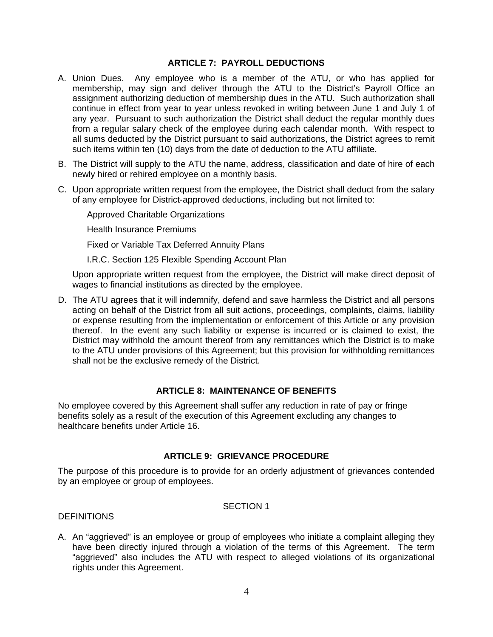#### **ARTICLE 7: PAYROLL DEDUCTIONS**

- A. Union Dues. Any employee who is a member of the ATU, or who has applied for membership, may sign and deliver through the ATU to the District's Payroll Office an assignment authorizing deduction of membership dues in the ATU. Such authorization shall continue in effect from year to year unless revoked in writing between June 1 and July 1 of any year. Pursuant to such authorization the District shall deduct the regular monthly dues from a regular salary check of the employee during each calendar month. With respect to all sums deducted by the District pursuant to said authorizations, the District agrees to remit such items within ten (10) days from the date of deduction to the ATU affiliate.
- B. The District will supply to the ATU the name, address, classification and date of hire of each newly hired or rehired employee on a monthly basis.
- C. Upon appropriate written request from the employee, the District shall deduct from the salary of any employee for District-approved deductions, including but not limited to:

Approved Charitable Organizations

Health Insurance Premiums

Fixed or Variable Tax Deferred Annuity Plans

I.R.C. Section 125 Flexible Spending Account Plan

Upon appropriate written request from the employee, the District will make direct deposit of wages to financial institutions as directed by the employee.

D. The ATU agrees that it will indemnify, defend and save harmless the District and all persons acting on behalf of the District from all suit actions, proceedings, complaints, claims, liability or expense resulting from the implementation or enforcement of this Article or any provision thereof. In the event any such liability or expense is incurred or is claimed to exist, the District may withhold the amount thereof from any remittances which the District is to make to the ATU under provisions of this Agreement; but this provision for withholding remittances shall not be the exclusive remedy of the District.

#### **ARTICLE 8: MAINTENANCE OF BENEFITS**

No employee covered by this Agreement shall suffer any reduction in rate of pay or fringe benefits solely as a result of the execution of this Agreement excluding any changes to healthcare benefits under Article 16.

## **ARTICLE 9: GRIEVANCE PROCEDURE**

The purpose of this procedure is to provide for an orderly adjustment of grievances contended by an employee or group of employees.

#### SECTION 1

#### **DEFINITIONS**

A. An "aggrieved" is an employee or group of employees who initiate a complaint alleging they have been directly injured through a violation of the terms of this Agreement. The term "aggrieved" also includes the ATU with respect to alleged violations of its organizational rights under this Agreement.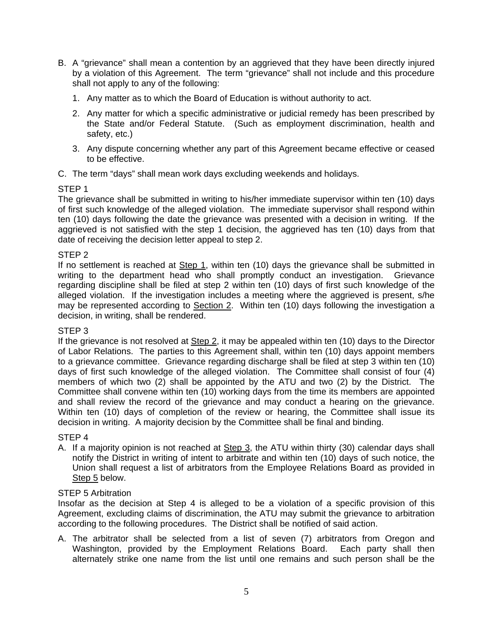- B. A "grievance" shall mean a contention by an aggrieved that they have been directly injured by a violation of this Agreement. The term "grievance" shall not include and this procedure shall not apply to any of the following:
	- 1. Any matter as to which the Board of Education is without authority to act.
	- 2. Any matter for which a specific administrative or judicial remedy has been prescribed by the State and/or Federal Statute. (Such as employment discrimination, health and safety, etc.)
	- 3. Any dispute concerning whether any part of this Agreement became effective or ceased to be effective.
- C. The term "days" shall mean work days excluding weekends and holidays.

## STEP 1

The grievance shall be submitted in writing to his/her immediate supervisor within ten (10) days of first such knowledge of the alleged violation. The immediate supervisor shall respond within ten (10) days following the date the grievance was presented with a decision in writing. If the aggrieved is not satisfied with the step 1 decision, the aggrieved has ten (10) days from that date of receiving the decision letter appeal to step 2.

## STEP 2

If no settlement is reached at Step 1, within ten (10) days the grievance shall be submitted in writing to the department head who shall promptly conduct an investigation. Grievance regarding discipline shall be filed at step 2 within ten (10) days of first such knowledge of the alleged violation. If the investigation includes a meeting where the aggrieved is present, s/he may be represented according to Section 2. Within ten (10) days following the investigation a decision, in writing, shall be rendered.

## STEP 3

If the grievance is not resolved at Step 2, it may be appealed within ten (10) days to the Director of Labor Relations. The parties to this Agreement shall, within ten (10) days appoint members to a grievance committee. Grievance regarding discharge shall be filed at step 3 within ten (10) days of first such knowledge of the alleged violation. The Committee shall consist of four (4) members of which two (2) shall be appointed by the ATU and two (2) by the District. The Committee shall convene within ten (10) working days from the time its members are appointed and shall review the record of the grievance and may conduct a hearing on the grievance. Within ten (10) days of completion of the review or hearing, the Committee shall issue its decision in writing. A majority decision by the Committee shall be final and binding.

## STEP 4

A. If a majority opinion is not reached at Step 3, the ATU within thirty (30) calendar days shall notify the District in writing of intent to arbitrate and within ten (10) days of such notice, the Union shall request a list of arbitrators from the Employee Relations Board as provided in Step 5 below.

## STEP 5 Arbitration

Insofar as the decision at Step 4 is alleged to be a violation of a specific provision of this Agreement, excluding claims of discrimination, the ATU may submit the grievance to arbitration according to the following procedures. The District shall be notified of said action.

A. The arbitrator shall be selected from a list of seven (7) arbitrators from Oregon and Washington, provided by the Employment Relations Board. Each party shall then alternately strike one name from the list until one remains and such person shall be the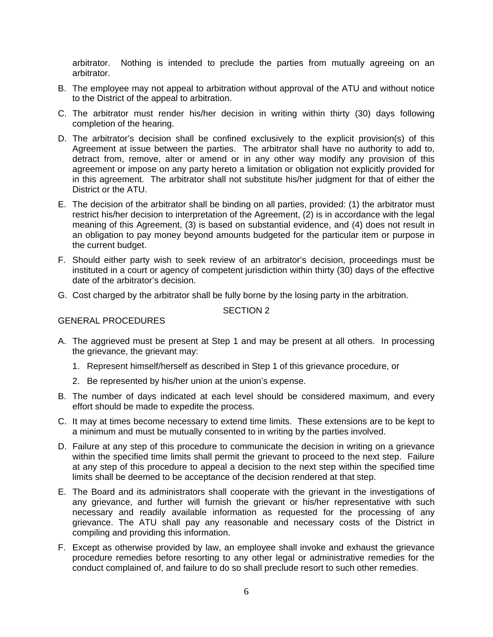arbitrator. Nothing is intended to preclude the parties from mutually agreeing on an arbitrator.

- B. The employee may not appeal to arbitration without approval of the ATU and without notice to the District of the appeal to arbitration.
- C. The arbitrator must render his/her decision in writing within thirty (30) days following completion of the hearing.
- D. The arbitrator's decision shall be confined exclusively to the explicit provision(s) of this Agreement at issue between the parties. The arbitrator shall have no authority to add to, detract from, remove, alter or amend or in any other way modify any provision of this agreement or impose on any party hereto a limitation or obligation not explicitly provided for in this agreement. The arbitrator shall not substitute his/her judgment for that of either the District or the ATU.
- E. The decision of the arbitrator shall be binding on all parties, provided: (1) the arbitrator must restrict his/her decision to interpretation of the Agreement, (2) is in accordance with the legal meaning of this Agreement, (3) is based on substantial evidence, and (4) does not result in an obligation to pay money beyond amounts budgeted for the particular item or purpose in the current budget.
- F. Should either party wish to seek review of an arbitrator's decision, proceedings must be instituted in a court or agency of competent jurisdiction within thirty (30) days of the effective date of the arbitrator's decision.
- G. Cost charged by the arbitrator shall be fully borne by the losing party in the arbitration.

## SECTION 2

## GENERAL PROCEDURES

- A. The aggrieved must be present at Step 1 and may be present at all others. In processing the grievance, the grievant may:
	- 1. Represent himself/herself as described in Step 1 of this grievance procedure, or
	- 2. Be represented by his/her union at the union's expense.
- B. The number of days indicated at each level should be considered maximum, and every effort should be made to expedite the process.
- C. It may at times become necessary to extend time limits. These extensions are to be kept to a minimum and must be mutually consented to in writing by the parties involved.
- D. Failure at any step of this procedure to communicate the decision in writing on a grievance within the specified time limits shall permit the grievant to proceed to the next step. Failure at any step of this procedure to appeal a decision to the next step within the specified time limits shall be deemed to be acceptance of the decision rendered at that step.
- E. The Board and its administrators shall cooperate with the grievant in the investigations of any grievance, and further will furnish the grievant or his/her representative with such necessary and readily available information as requested for the processing of any grievance. The ATU shall pay any reasonable and necessary costs of the District in compiling and providing this information.
- F. Except as otherwise provided by law, an employee shall invoke and exhaust the grievance procedure remedies before resorting to any other legal or administrative remedies for the conduct complained of, and failure to do so shall preclude resort to such other remedies.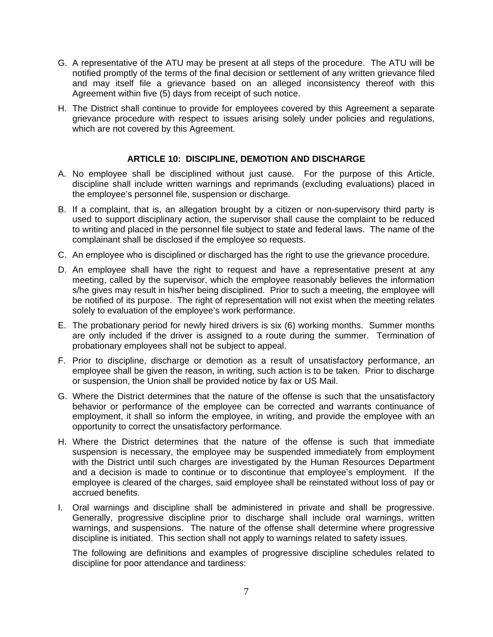- G. A representative of the ATU may be present at all steps of the procedure. The ATU will be notified promptly of the terms of the final decision or settlement of any written grievance filed and may itself file a grievance based on an alleged inconsistency thereof with this Agreement within five (5) days from receipt of such notice.
- H. The District shall continue to provide for employees covered by this Agreement a separate grievance procedure with respect to issues arising solely under policies and regulations, which are not covered by this Agreement.

## **ARTICLE 10: DISCIPLINE, DEMOTION AND DISCHARGE**

- A. No employee shall be disciplined without just cause. For the purpose of this Article, discipline shall include written warnings and reprimands (excluding evaluations) placed in the employee's personnel file, suspension or discharge.
- B. If a complaint, that is, an allegation brought by a citizen or non-supervisory third party is used to support disciplinary action, the supervisor shall cause the complaint to be reduced to writing and placed in the personnel file subject to state and federal laws. The name of the complainant shall be disclosed if the employee so requests.
- C. An employee who is disciplined or discharged has the right to use the grievance procedure.
- D. An employee shall have the right to request and have a representative present at any meeting, called by the supervisor, which the employee reasonably believes the information s/he gives may result in his/her being disciplined. Prior to such a meeting, the employee will be notified of its purpose. The right of representation will not exist when the meeting relates solely to evaluation of the employee's work performance.
- E. The probationary period for newly hired drivers is six (6) working months. Summer months are only included if the driver is assigned to a route during the summer. Termination of probationary employees shall not be subject to appeal.
- F. Prior to discipline, discharge or demotion as a result of unsatisfactory performance, an employee shall be given the reason, in writing, such action is to be taken. Prior to discharge or suspension, the Union shall be provided notice by fax or US Mail.
- G. Where the District determines that the nature of the offense is such that the unsatisfactory behavior or performance of the employee can be corrected and warrants continuance of employment, it shall so inform the employee, in writing, and provide the employee with an opportunity to correct the unsatisfactory performance.
- H. Where the District determines that the nature of the offense is such that immediate suspension is necessary, the employee may be suspended immediately from employment with the District until such charges are investigated by the Human Resources Department and a decision is made to continue or to discontinue that employee's employment. If the employee is cleared of the charges, said employee shall be reinstated without loss of pay or accrued benefits.
- I. Oral warnings and discipline shall be administered in private and shall be progressive. Generally, progressive discipline prior to discharge shall include oral warnings, written warnings, and suspensions. The nature of the offense shall determine where progressive discipline is initiated. This section shall not apply to warnings related to safety issues.

The following are definitions and examples of progressive discipline schedules related to discipline for poor attendance and tardiness: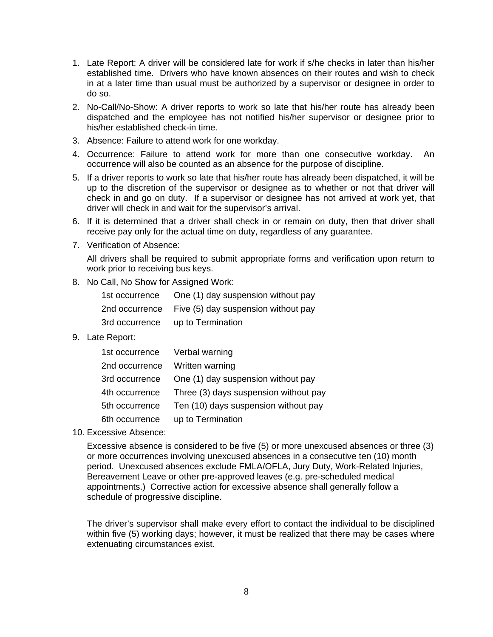- 1. Late Report: A driver will be considered late for work if s/he checks in later than his/her established time. Drivers who have known absences on their routes and wish to check in at a later time than usual must be authorized by a supervisor or designee in order to do so.
- 2. No-Call/No-Show: A driver reports to work so late that his/her route has already been dispatched and the employee has not notified his/her supervisor or designee prior to his/her established check-in time.
- 3. Absence: Failure to attend work for one workday.
- 4. Occurrence: Failure to attend work for more than one consecutive workday. An occurrence will also be counted as an absence for the purpose of discipline.
- 5. If a driver reports to work so late that his/her route has already been dispatched, it will be up to the discretion of the supervisor or designee as to whether or not that driver will check in and go on duty. If a supervisor or designee has not arrived at work yet, that driver will check in and wait for the supervisor's arrival.
- 6. If it is determined that a driver shall check in or remain on duty, then that driver shall receive pay only for the actual time on duty, regardless of any guarantee.
- 7. Verification of Absence:

All drivers shall be required to submit appropriate forms and verification upon return to work prior to receiving bus keys.

8. No Call, No Show for Assigned Work:

| 1st occurrence | One (1) day suspension without pay  |
|----------------|-------------------------------------|
| 2nd occurrence | Five (5) day suspension without pay |
| 3rd occurrence | up to Termination                   |

9. Late Report:

| 1st occurrence | Verbal warning                        |
|----------------|---------------------------------------|
| 2nd occurrence | Written warning                       |
| 3rd occurrence | One (1) day suspension without pay    |
| 4th occurrence | Three (3) days suspension without pay |
| 5th occurrence | Ten (10) days suspension without pay  |
| 6th occurrence | up to Termination                     |

10. Excessive Absence:

Excessive absence is considered to be five (5) or more unexcused absences or three (3) or more occurrences involving unexcused absences in a consecutive ten (10) month period. Unexcused absences exclude FMLA/OFLA, Jury Duty, Work-Related Injuries, Bereavement Leave or other pre-approved leaves (e.g. pre-scheduled medical appointments.) Corrective action for excessive absence shall generally follow a schedule of progressive discipline.

The driver's supervisor shall make every effort to contact the individual to be disciplined within five (5) working days; however, it must be realized that there may be cases where extenuating circumstances exist.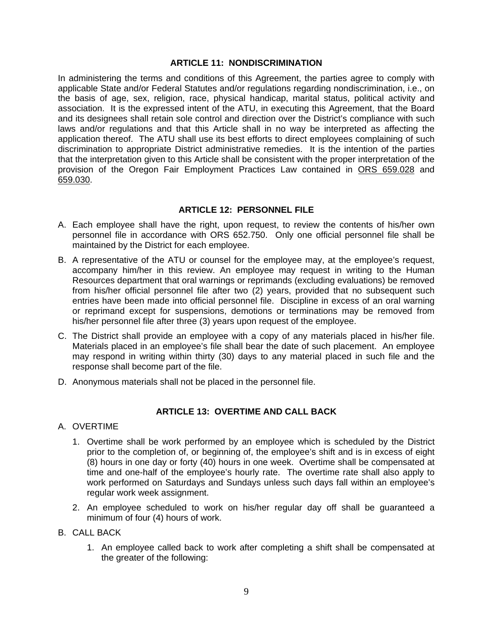#### **ARTICLE 11: NONDISCRIMINATION**

In administering the terms and conditions of this Agreement, the parties agree to comply with applicable State and/or Federal Statutes and/or regulations regarding nondiscrimination, i.e., on the basis of age, sex, religion, race, physical handicap, marital status, political activity and association. It is the expressed intent of the ATU, in executing this Agreement, that the Board and its designees shall retain sole control and direction over the District's compliance with such laws and/or regulations and that this Article shall in no way be interpreted as affecting the application thereof. The ATU shall use its best efforts to direct employees complaining of such discrimination to appropriate District administrative remedies. It is the intention of the parties that the interpretation given to this Article shall be consistent with the proper interpretation of the provision of the Oregon Fair Employment Practices Law contained in ORS 659.028 and 659.030.

## **ARTICLE 12: PERSONNEL FILE**

- A. Each employee shall have the right, upon request, to review the contents of his/her own personnel file in accordance with ORS 652.750. Only one official personnel file shall be maintained by the District for each employee.
- B. A representative of the ATU or counsel for the employee may, at the employee's request, accompany him/her in this review. An employee may request in writing to the Human Resources department that oral warnings or reprimands (excluding evaluations) be removed from his/her official personnel file after two (2) years, provided that no subsequent such entries have been made into official personnel file. Discipline in excess of an oral warning or reprimand except for suspensions, demotions or terminations may be removed from his/her personnel file after three (3) years upon request of the employee.
- C. The District shall provide an employee with a copy of any materials placed in his/her file. Materials placed in an employee's file shall bear the date of such placement. An employee may respond in writing within thirty (30) days to any material placed in such file and the response shall become part of the file.
- D. Anonymous materials shall not be placed in the personnel file.

## **ARTICLE 13: OVERTIME AND CALL BACK**

#### A. OVERTIME

- 1. Overtime shall be work performed by an employee which is scheduled by the District prior to the completion of, or beginning of, the employee's shift and is in excess of eight (8) hours in one day or forty (40) hours in one week. Overtime shall be compensated at time and one-half of the employee's hourly rate. The overtime rate shall also apply to work performed on Saturdays and Sundays unless such days fall within an employee's regular work week assignment.
- 2. An employee scheduled to work on his/her regular day off shall be guaranteed a minimum of four (4) hours of work.
- B. CALL BACK
	- 1. An employee called back to work after completing a shift shall be compensated at the greater of the following: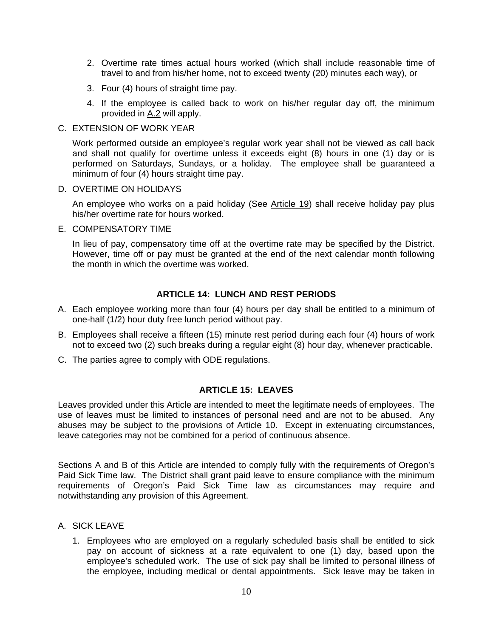- 2. Overtime rate times actual hours worked (which shall include reasonable time of travel to and from his/her home, not to exceed twenty (20) minutes each way), or
- 3. Four (4) hours of straight time pay.
- 4. If the employee is called back to work on his/her regular day off, the minimum provided in A.2 will apply.
- C. EXTENSION OF WORK YEAR

Work performed outside an employee's regular work year shall not be viewed as call back and shall not qualify for overtime unless it exceeds eight (8) hours in one (1) day or is performed on Saturdays, Sundays, or a holiday. The employee shall be guaranteed a minimum of four (4) hours straight time pay.

#### D. OVERTIME ON HOLIDAYS

An employee who works on a paid holiday (See Article 19) shall receive holiday pay plus his/her overtime rate for hours worked.

E. COMPENSATORY TIME

In lieu of pay, compensatory time off at the overtime rate may be specified by the District. However, time off or pay must be granted at the end of the next calendar month following the month in which the overtime was worked.

#### **ARTICLE 14: LUNCH AND REST PERIODS**

- A. Each employee working more than four (4) hours per day shall be entitled to a minimum of one-half (1/2) hour duty free lunch period without pay.
- B. Employees shall receive a fifteen (15) minute rest period during each four (4) hours of work not to exceed two (2) such breaks during a regular eight (8) hour day, whenever practicable.
- C. The parties agree to comply with ODE regulations.

## **ARTICLE 15: LEAVES**

Leaves provided under this Article are intended to meet the legitimate needs of employees. The use of leaves must be limited to instances of personal need and are not to be abused. Any abuses may be subject to the provisions of Article 10. Except in extenuating circumstances, leave categories may not be combined for a period of continuous absence.

Sections A and B of this Article are intended to comply fully with the requirements of Oregon's Paid Sick Time law. The District shall grant paid leave to ensure compliance with the minimum requirements of Oregon's Paid Sick Time law as circumstances may require and notwithstanding any provision of this Agreement.

- A. SICK LEAVE
	- 1. Employees who are employed on a regularly scheduled basis shall be entitled to sick pay on account of sickness at a rate equivalent to one (1) day, based upon the employee's scheduled work. The use of sick pay shall be limited to personal illness of the employee, including medical or dental appointments. Sick leave may be taken in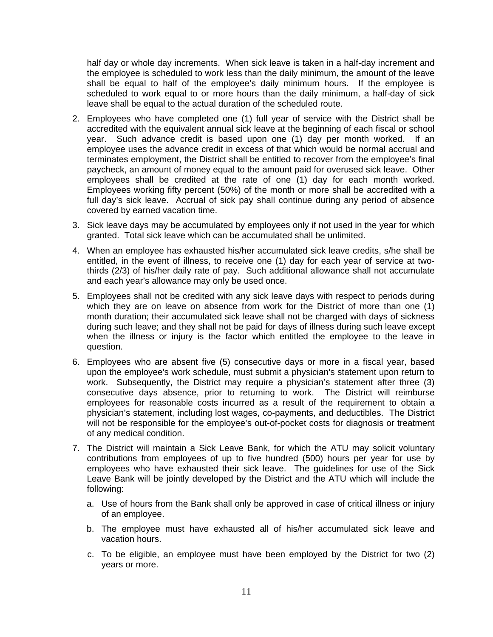half day or whole day increments. When sick leave is taken in a half-day increment and the employee is scheduled to work less than the daily minimum, the amount of the leave shall be equal to half of the employee's daily minimum hours. If the employee is scheduled to work equal to or more hours than the daily minimum, a half-day of sick leave shall be equal to the actual duration of the scheduled route.

- 2. Employees who have completed one (1) full year of service with the District shall be accredited with the equivalent annual sick leave at the beginning of each fiscal or school year. Such advance credit is based upon one (1) day per month worked. If an employee uses the advance credit in excess of that which would be normal accrual and terminates employment, the District shall be entitled to recover from the employee's final paycheck, an amount of money equal to the amount paid for overused sick leave. Other employees shall be credited at the rate of one (1) day for each month worked. Employees working fifty percent (50%) of the month or more shall be accredited with a full day's sick leave. Accrual of sick pay shall continue during any period of absence covered by earned vacation time.
- 3. Sick leave days may be accumulated by employees only if not used in the year for which granted. Total sick leave which can be accumulated shall be unlimited.
- 4. When an employee has exhausted his/her accumulated sick leave credits, s/he shall be entitled, in the event of illness, to receive one (1) day for each year of service at twothirds (2/3) of his/her daily rate of pay. Such additional allowance shall not accumulate and each year's allowance may only be used once.
- 5. Employees shall not be credited with any sick leave days with respect to periods during which they are on leave on absence from work for the District of more than one (1) month duration; their accumulated sick leave shall not be charged with days of sickness during such leave; and they shall not be paid for days of illness during such leave except when the illness or injury is the factor which entitled the employee to the leave in question.
- 6. Employees who are absent five (5) consecutive days or more in a fiscal year, based upon the employee's work schedule, must submit a physician's statement upon return to work. Subsequently, the District may require a physician's statement after three (3) consecutive days absence, prior to returning to work. The District will reimburse employees for reasonable costs incurred as a result of the requirement to obtain a physician's statement, including lost wages, co-payments, and deductibles. The District will not be responsible for the employee's out-of-pocket costs for diagnosis or treatment of any medical condition.
- 7. The District will maintain a Sick Leave Bank, for which the ATU may solicit voluntary contributions from employees of up to five hundred (500) hours per year for use by employees who have exhausted their sick leave. The guidelines for use of the Sick Leave Bank will be jointly developed by the District and the ATU which will include the following:
	- a. Use of hours from the Bank shall only be approved in case of critical illness or injury of an employee.
	- b. The employee must have exhausted all of his/her accumulated sick leave and vacation hours.
	- c. To be eligible, an employee must have been employed by the District for two (2) years or more.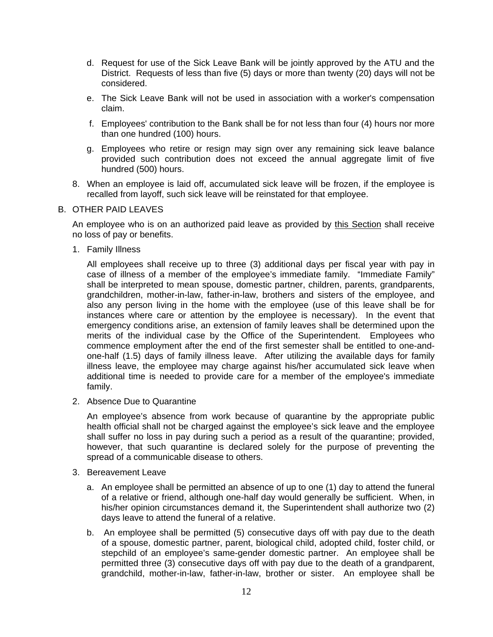- d. Request for use of the Sick Leave Bank will be jointly approved by the ATU and the District. Requests of less than five (5) days or more than twenty (20) days will not be considered.
- e. The Sick Leave Bank will not be used in association with a worker's compensation claim.
- f. Employees' contribution to the Bank shall be for not less than four (4) hours nor more than one hundred (100) hours.
- g. Employees who retire or resign may sign over any remaining sick leave balance provided such contribution does not exceed the annual aggregate limit of five hundred (500) hours.
- 8. When an employee is laid off, accumulated sick leave will be frozen, if the employee is recalled from layoff, such sick leave will be reinstated for that employee.
- B. OTHER PAID LEAVES

An employee who is on an authorized paid leave as provided by this Section shall receive no loss of pay or benefits.

1. Family Illness

All employees shall receive up to three (3) additional days per fiscal year with pay in case of illness of a member of the employee's immediate family. "Immediate Family" shall be interpreted to mean spouse, domestic partner, children, parents, grandparents, grandchildren, mother-in-law, father-in-law, brothers and sisters of the employee, and also any person living in the home with the employee (use of this leave shall be for instances where care or attention by the employee is necessary). In the event that emergency conditions arise, an extension of family leaves shall be determined upon the merits of the individual case by the Office of the Superintendent. Employees who commence employment after the end of the first semester shall be entitled to one-andone-half (1.5) days of family illness leave. After utilizing the available days for family illness leave, the employee may charge against his/her accumulated sick leave when additional time is needed to provide care for a member of the employee's immediate family.

2. Absence Due to Quarantine

An employee's absence from work because of quarantine by the appropriate public health official shall not be charged against the employee's sick leave and the employee shall suffer no loss in pay during such a period as a result of the quarantine; provided, however, that such quarantine is declared solely for the purpose of preventing the spread of a communicable disease to others.

- 3. Bereavement Leave
	- a. An employee shall be permitted an absence of up to one (1) day to attend the funeral of a relative or friend, although one-half day would generally be sufficient. When, in his/her opinion circumstances demand it, the Superintendent shall authorize two (2) days leave to attend the funeral of a relative.
	- b. An employee shall be permitted (5) consecutive days off with pay due to the death of a spouse, domestic partner, parent, biological child, adopted child, foster child, or stepchild of an employee's same-gender domestic partner. An employee shall be permitted three (3) consecutive days off with pay due to the death of a grandparent, grandchild, mother-in-law, father-in-law, brother or sister. An employee shall be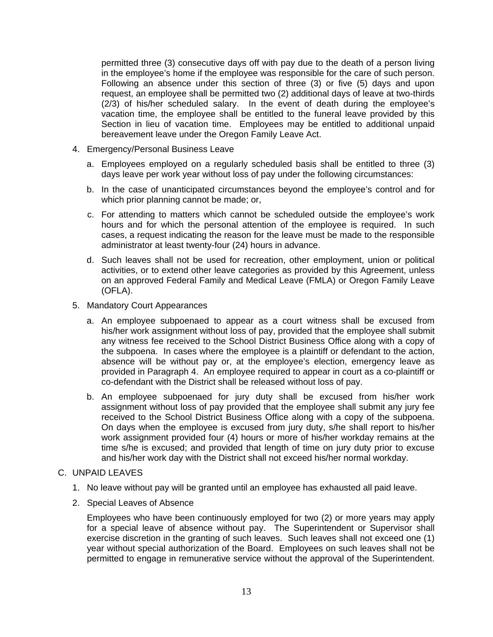permitted three (3) consecutive days off with pay due to the death of a person living in the employee's home if the employee was responsible for the care of such person. Following an absence under this section of three (3) or five (5) days and upon request, an employee shall be permitted two (2) additional days of leave at two-thirds (2/3) of his/her scheduled salary. In the event of death during the employee's vacation time, the employee shall be entitled to the funeral leave provided by this Section in lieu of vacation time. Employees may be entitled to additional unpaid bereavement leave under the Oregon Family Leave Act.

- 4. Emergency/Personal Business Leave
	- a. Employees employed on a regularly scheduled basis shall be entitled to three (3) days leave per work year without loss of pay under the following circumstances:
	- b. In the case of unanticipated circumstances beyond the employee's control and for which prior planning cannot be made; or,
	- c. For attending to matters which cannot be scheduled outside the employee's work hours and for which the personal attention of the employee is required. In such cases, a request indicating the reason for the leave must be made to the responsible administrator at least twenty-four (24) hours in advance.
	- d. Such leaves shall not be used for recreation, other employment, union or political activities, or to extend other leave categories as provided by this Agreement, unless on an approved Federal Family and Medical Leave (FMLA) or Oregon Family Leave (OFLA).
- 5. Mandatory Court Appearances
	- a. An employee subpoenaed to appear as a court witness shall be excused from his/her work assignment without loss of pay, provided that the employee shall submit any witness fee received to the School District Business Office along with a copy of the subpoena. In cases where the employee is a plaintiff or defendant to the action, absence will be without pay or, at the employee's election, emergency leave as provided in Paragraph 4. An employee required to appear in court as a co-plaintiff or co-defendant with the District shall be released without loss of pay.
	- b. An employee subpoenaed for jury duty shall be excused from his/her work assignment without loss of pay provided that the employee shall submit any jury fee received to the School District Business Office along with a copy of the subpoena. On days when the employee is excused from jury duty, s/he shall report to his/her work assignment provided four (4) hours or more of his/her workday remains at the time s/he is excused; and provided that length of time on jury duty prior to excuse and his/her work day with the District shall not exceed his/her normal workday.

#### C. UNPAID LEAVES

- 1. No leave without pay will be granted until an employee has exhausted all paid leave.
- 2. Special Leaves of Absence

Employees who have been continuously employed for two (2) or more years may apply for a special leave of absence without pay. The Superintendent or Supervisor shall exercise discretion in the granting of such leaves. Such leaves shall not exceed one (1) year without special authorization of the Board. Employees on such leaves shall not be permitted to engage in remunerative service without the approval of the Superintendent.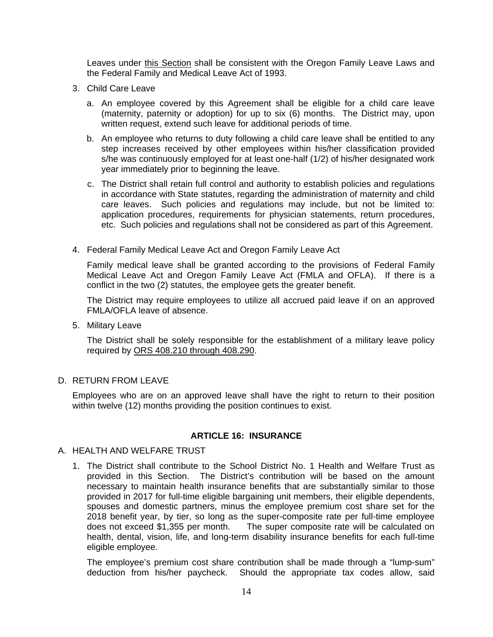Leaves under this Section shall be consistent with the Oregon Family Leave Laws and the Federal Family and Medical Leave Act of 1993.

- 3. Child Care Leave
	- a. An employee covered by this Agreement shall be eligible for a child care leave (maternity, paternity or adoption) for up to six (6) months. The District may, upon written request, extend such leave for additional periods of time.
	- b. An employee who returns to duty following a child care leave shall be entitled to any step increases received by other employees within his/her classification provided s/he was continuously employed for at least one-half (1/2) of his/her designated work year immediately prior to beginning the leave.
	- c. The District shall retain full control and authority to establish policies and regulations in accordance with State statutes, regarding the administration of maternity and child care leaves. Such policies and regulations may include, but not be limited to: application procedures, requirements for physician statements, return procedures, etc. Such policies and regulations shall not be considered as part of this Agreement.
- 4. Federal Family Medical Leave Act and Oregon Family Leave Act

Family medical leave shall be granted according to the provisions of Federal Family Medical Leave Act and Oregon Family Leave Act (FMLA and OFLA). If there is a conflict in the two (2) statutes, the employee gets the greater benefit.

The District may require employees to utilize all accrued paid leave if on an approved FMLA/OFLA leave of absence.

5. Military Leave

The District shall be solely responsible for the establishment of a military leave policy required by ORS 408.210 through 408.290.

#### D. RETURN FROM LEAVE

Employees who are on an approved leave shall have the right to return to their position within twelve (12) months providing the position continues to exist.

#### **ARTICLE 16: INSURANCE**

#### A. HEALTH AND WELFARE TRUST

1. The District shall contribute to the School District No. 1 Health and Welfare Trust as provided in this Section. The District's contribution will be based on the amount necessary to maintain health insurance benefits that are substantially similar to those provided in 2017 for full-time eligible bargaining unit members, their eligible dependents, spouses and domestic partners, minus the employee premium cost share set for the 2018 benefit year, by tier, so long as the super-composite rate per full-time employee does not exceed \$1,355 per month. The super composite rate will be calculated on health, dental, vision, life, and long-term disability insurance benefits for each full-time eligible employee.

The employee's premium cost share contribution shall be made through a "lump-sum" deduction from his/her paycheck. Should the appropriate tax codes allow, said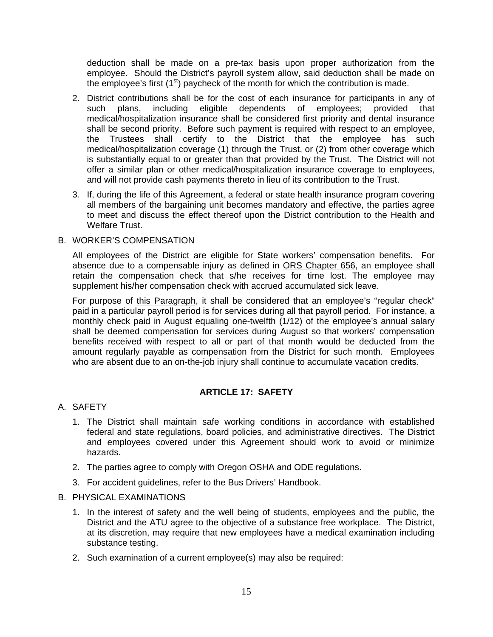deduction shall be made on a pre-tax basis upon proper authorization from the employee. Should the District's payroll system allow, said deduction shall be made on the employee's first  $(1<sup>st</sup>)$  paycheck of the month for which the contribution is made.

- 2. District contributions shall be for the cost of each insurance for participants in any of such plans, including eligible dependents of employees; provided that medical/hospitalization insurance shall be considered first priority and dental insurance shall be second priority. Before such payment is required with respect to an employee, the Trustees shall certify to the District that the employee has such medical/hospitalization coverage (1) through the Trust, or (2) from other coverage which is substantially equal to or greater than that provided by the Trust. The District will not offer a similar plan or other medical/hospitalization insurance coverage to employees, and will not provide cash payments thereto in lieu of its contribution to the Trust.
- 3. If, during the life of this Agreement, a federal or state health insurance program covering all members of the bargaining unit becomes mandatory and effective, the parties agree to meet and discuss the effect thereof upon the District contribution to the Health and Welfare Trust.

#### B. WORKER'S COMPENSATION

All employees of the District are eligible for State workers' compensation benefits. For absence due to a compensable injury as defined in ORS Chapter 656, an employee shall retain the compensation check that s/he receives for time lost. The employee may supplement his/her compensation check with accrued accumulated sick leave.

For purpose of this Paragraph, it shall be considered that an employee's "regular check" paid in a particular payroll period is for services during all that payroll period. For instance, a monthly check paid in August equaling one-twelfth (1/12) of the employee's annual salary shall be deemed compensation for services during August so that workers' compensation benefits received with respect to all or part of that month would be deducted from the amount regularly payable as compensation from the District for such month. Employees who are absent due to an on-the-job injury shall continue to accumulate vacation credits.

## **ARTICLE 17: SAFETY**

- A. SAFETY
	- 1. The District shall maintain safe working conditions in accordance with established federal and state regulations, board policies, and administrative directives. The District and employees covered under this Agreement should work to avoid or minimize hazards.
	- 2. The parties agree to comply with Oregon OSHA and ODE regulations.
	- 3. For accident guidelines, refer to the Bus Drivers' Handbook.

#### B. PHYSICAL EXAMINATIONS

- 1. In the interest of safety and the well being of students, employees and the public, the District and the ATU agree to the objective of a substance free workplace. The District, at its discretion, may require that new employees have a medical examination including substance testing.
- 2. Such examination of a current employee(s) may also be required: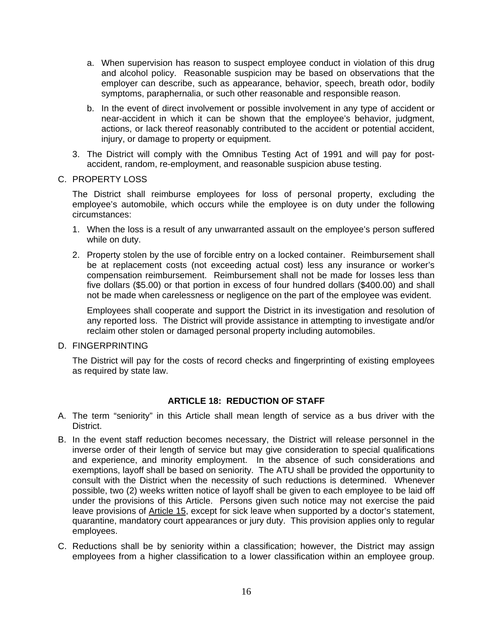- a. When supervision has reason to suspect employee conduct in violation of this drug and alcohol policy. Reasonable suspicion may be based on observations that the employer can describe, such as appearance, behavior, speech, breath odor, bodily symptoms, paraphernalia, or such other reasonable and responsible reason.
- b. In the event of direct involvement or possible involvement in any type of accident or near-accident in which it can be shown that the employee's behavior, judgment, actions, or lack thereof reasonably contributed to the accident or potential accident, injury, or damage to property or equipment.
- 3. The District will comply with the Omnibus Testing Act of 1991 and will pay for postaccident, random, re-employment, and reasonable suspicion abuse testing.

#### C. PROPERTY LOSS

The District shall reimburse employees for loss of personal property, excluding the employee's automobile, which occurs while the employee is on duty under the following circumstances:

- 1. When the loss is a result of any unwarranted assault on the employee's person suffered while on duty.
- 2. Property stolen by the use of forcible entry on a locked container. Reimbursement shall be at replacement costs (not exceeding actual cost) less any insurance or worker's compensation reimbursement. Reimbursement shall not be made for losses less than five dollars (\$5.00) or that portion in excess of four hundred dollars (\$400.00) and shall not be made when carelessness or negligence on the part of the employee was evident.

Employees shall cooperate and support the District in its investigation and resolution of any reported loss. The District will provide assistance in attempting to investigate and/or reclaim other stolen or damaged personal property including automobiles.

D. FINGERPRINTING

The District will pay for the costs of record checks and fingerprinting of existing employees as required by state law.

## **ARTICLE 18: REDUCTION OF STAFF**

- A. The term "seniority" in this Article shall mean length of service as a bus driver with the District.
- B. In the event staff reduction becomes necessary, the District will release personnel in the inverse order of their length of service but may give consideration to special qualifications and experience, and minority employment. In the absence of such considerations and exemptions, layoff shall be based on seniority. The ATU shall be provided the opportunity to consult with the District when the necessity of such reductions is determined. Whenever possible, two (2) weeks written notice of layoff shall be given to each employee to be laid off under the provisions of this Article. Persons given such notice may not exercise the paid leave provisions of Article 15, except for sick leave when supported by a doctor's statement, quarantine, mandatory court appearances or jury duty. This provision applies only to regular employees.
- C. Reductions shall be by seniority within a classification; however, the District may assign employees from a higher classification to a lower classification within an employee group.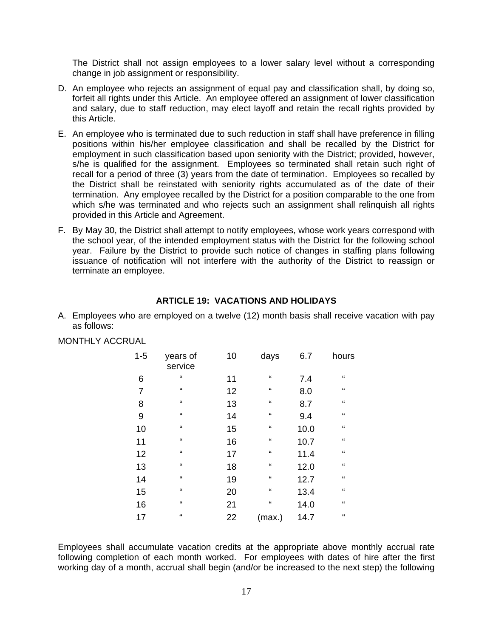The District shall not assign employees to a lower salary level without a corresponding change in job assignment or responsibility.

- D. An employee who rejects an assignment of equal pay and classification shall, by doing so, forfeit all rights under this Article. An employee offered an assignment of lower classification and salary, due to staff reduction, may elect layoff and retain the recall rights provided by this Article.
- E. An employee who is terminated due to such reduction in staff shall have preference in filling positions within his/her employee classification and shall be recalled by the District for employment in such classification based upon seniority with the District; provided, however, s/he is qualified for the assignment. Employees so terminated shall retain such right of recall for a period of three (3) years from the date of termination. Employees so recalled by the District shall be reinstated with seniority rights accumulated as of the date of their termination. Any employee recalled by the District for a position comparable to the one from which s/he was terminated and who rejects such an assignment shall relinguish all rights provided in this Article and Agreement.
- F. By May 30, the District shall attempt to notify employees, whose work years correspond with the school year, of the intended employment status with the District for the following school year. Failure by the District to provide such notice of changes in staffing plans following issuance of notification will not interfere with the authority of the District to reassign or terminate an employee.

## **ARTICLE 19: VACATIONS AND HOLIDAYS**

A. Employees who are employed on a twelve (12) month basis shall receive vacation with pay as follows:

MONTHLY ACCRUAL

| $1 - 5$ | years of<br>service        | 10 | days       | 6.7  | hours                      |
|---------|----------------------------|----|------------|------|----------------------------|
| 6       | "                          | 11 | "          | 7.4  | $\mathfrak{c}\mathfrak{c}$ |
| 7       | $\mathfrak{c}\mathfrak{c}$ | 12 | "          | 8.0  | $\epsilon$                 |
| 8       | "                          | 13 | "          | 8.7  | "                          |
| 9       | $\epsilon$                 | 14 | $\epsilon$ | 9.4  | $\epsilon$                 |
| 10      | "                          | 15 | "          | 10.0 | $\epsilon$                 |
| 11      | $\mathfrak{c}\mathfrak{c}$ | 16 | $\epsilon$ | 10.7 | $\epsilon$                 |
| 12      | $\mathfrak{c}\mathfrak{c}$ | 17 | "          | 11.4 | $\epsilon$                 |
| 13      | $\mathfrak{c}\mathfrak{c}$ | 18 | "          | 12.0 | $\mathfrak{c}\mathfrak{c}$ |
| 14      | $\mathfrak{c}\mathfrak{c}$ | 19 | "          | 12.7 | $\epsilon$                 |
| 15      | $\epsilon$                 | 20 | $\epsilon$ | 13.4 | $\epsilon$                 |
| 16      | $\epsilon$                 | 21 | $\epsilon$ | 14.0 | $\epsilon$                 |
| 17      | $\mathfrak{c}\mathfrak{c}$ | 22 | (max.)     | 14.7 | $\epsilon$                 |

Employees shall accumulate vacation credits at the appropriate above monthly accrual rate following completion of each month worked. For employees with dates of hire after the first working day of a month, accrual shall begin (and/or be increased to the next step) the following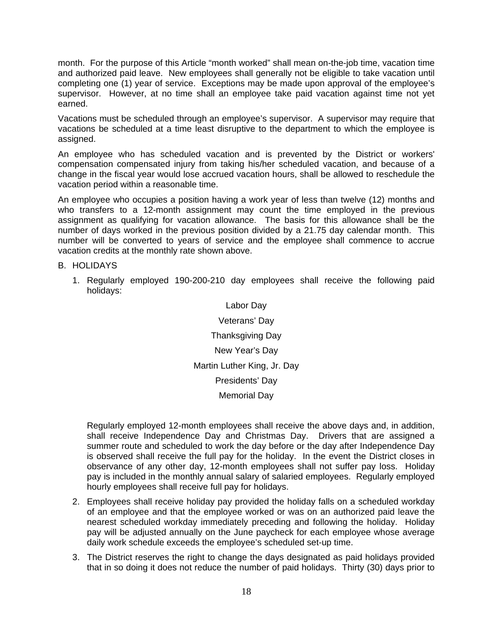month. For the purpose of this Article "month worked" shall mean on-the-job time, vacation time and authorized paid leave. New employees shall generally not be eligible to take vacation until completing one (1) year of service. Exceptions may be made upon approval of the employee's supervisor. However, at no time shall an employee take paid vacation against time not yet earned.

Vacations must be scheduled through an employee's supervisor. A supervisor may require that vacations be scheduled at a time least disruptive to the department to which the employee is assigned.

An employee who has scheduled vacation and is prevented by the District or workers' compensation compensated injury from taking his/her scheduled vacation, and because of a change in the fiscal year would lose accrued vacation hours, shall be allowed to reschedule the vacation period within a reasonable time.

An employee who occupies a position having a work year of less than twelve (12) months and who transfers to a 12-month assignment may count the time employed in the previous assignment as qualifying for vacation allowance. The basis for this allowance shall be the number of days worked in the previous position divided by a 21.75 day calendar month. This number will be converted to years of service and the employee shall commence to accrue vacation credits at the monthly rate shown above.

B. HOLIDAYS

1. Regularly employed 190-200-210 day employees shall receive the following paid holidays:

> Labor Day Veterans' Day Thanksgiving Day New Year's Day Martin Luther King, Jr. Day Presidents' Day Memorial Day

Regularly employed 12-month employees shall receive the above days and, in addition, shall receive Independence Day and Christmas Day. Drivers that are assigned a summer route and scheduled to work the day before or the day after Independence Day is observed shall receive the full pay for the holiday. In the event the District closes in observance of any other day, 12-month employees shall not suffer pay loss. Holiday pay is included in the monthly annual salary of salaried employees. Regularly employed hourly employees shall receive full pay for holidays.

- 2. Employees shall receive holiday pay provided the holiday falls on a scheduled workday of an employee and that the employee worked or was on an authorized paid leave the nearest scheduled workday immediately preceding and following the holiday. Holiday pay will be adjusted annually on the June paycheck for each employee whose average daily work schedule exceeds the employee's scheduled set-up time.
- 3. The District reserves the right to change the days designated as paid holidays provided that in so doing it does not reduce the number of paid holidays. Thirty (30) days prior to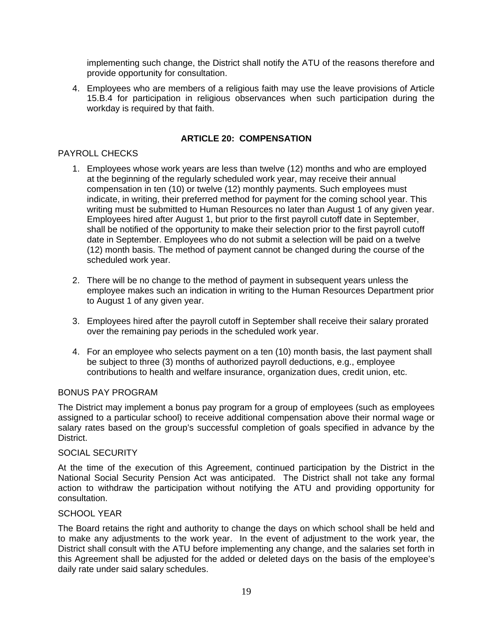implementing such change, the District shall notify the ATU of the reasons therefore and provide opportunity for consultation.

4. Employees who are members of a religious faith may use the leave provisions of Article 15.B.4 for participation in religious observances when such participation during the workday is required by that faith.

## **ARTICLE 20: COMPENSATION**

## PAYROLL CHECKS

- 1. Employees whose work years are less than twelve (12) months and who are employed at the beginning of the regularly scheduled work year, may receive their annual compensation in ten (10) or twelve (12) monthly payments. Such employees must indicate, in writing, their preferred method for payment for the coming school year. This writing must be submitted to Human Resources no later than August 1 of any given year. Employees hired after August 1, but prior to the first payroll cutoff date in September, shall be notified of the opportunity to make their selection prior to the first payroll cutoff date in September. Employees who do not submit a selection will be paid on a twelve (12) month basis. The method of payment cannot be changed during the course of the scheduled work year.
- 2. There will be no change to the method of payment in subsequent years unless the employee makes such an indication in writing to the Human Resources Department prior to August 1 of any given year.
- 3. Employees hired after the payroll cutoff in September shall receive their salary prorated over the remaining pay periods in the scheduled work year.
- 4. For an employee who selects payment on a ten (10) month basis, the last payment shall be subject to three (3) months of authorized payroll deductions, e.g., employee contributions to health and welfare insurance, organization dues, credit union, etc.

#### BONUS PAY PROGRAM

The District may implement a bonus pay program for a group of employees (such as employees assigned to a particular school) to receive additional compensation above their normal wage or salary rates based on the group's successful completion of goals specified in advance by the District.

#### SOCIAL SECURITY

At the time of the execution of this Agreement, continued participation by the District in the National Social Security Pension Act was anticipated. The District shall not take any formal action to withdraw the participation without notifying the ATU and providing opportunity for consultation.

#### SCHOOL YEAR

The Board retains the right and authority to change the days on which school shall be held and to make any adjustments to the work year. In the event of adjustment to the work year, the District shall consult with the ATU before implementing any change, and the salaries set forth in this Agreement shall be adjusted for the added or deleted days on the basis of the employee's daily rate under said salary schedules.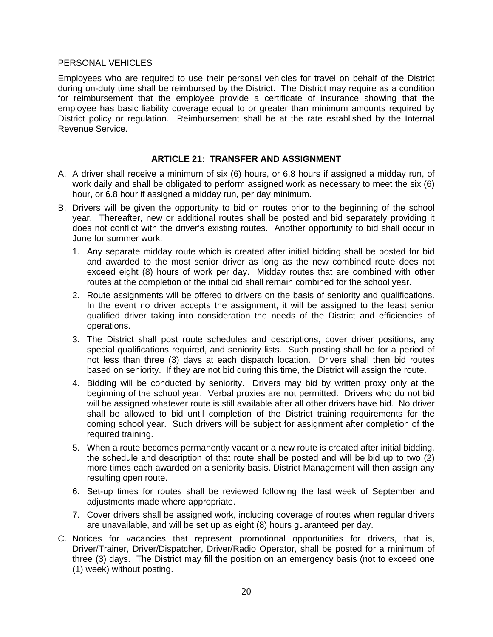#### PERSONAL VEHICLES

Employees who are required to use their personal vehicles for travel on behalf of the District during on-duty time shall be reimbursed by the District. The District may require as a condition for reimbursement that the employee provide a certificate of insurance showing that the employee has basic liability coverage equal to or greater than minimum amounts required by District policy or regulation. Reimbursement shall be at the rate established by the Internal Revenue Service.

### **ARTICLE 21: TRANSFER AND ASSIGNMENT**

- A. A driver shall receive a minimum of six (6) hours, or 6.8 hours if assigned a midday run, of work daily and shall be obligated to perform assigned work as necessary to meet the six (6) hour**,** or 6.8 hour if assigned a midday run, per day minimum.
- B. Drivers will be given the opportunity to bid on routes prior to the beginning of the school year. Thereafter, new or additional routes shall be posted and bid separately providing it does not conflict with the driver's existing routes. Another opportunity to bid shall occur in June for summer work.
	- 1.Any separate midday route which is created after initial bidding shall be posted for bid and awarded to the most senior driver as long as the new combined route does not exceed eight (8) hours of work per day. Midday routes that are combined with other routes at the completion of the initial bid shall remain combined for the school year.
	- 2. Route assignments will be offered to drivers on the basis of seniority and qualifications. In the event no driver accepts the assignment, it will be assigned to the least senior qualified driver taking into consideration the needs of the District and efficiencies of operations.
	- 3. The District shall post route schedules and descriptions, cover driver positions, any special qualifications required, and seniority lists. Such posting shall be for a period of not less than three (3) days at each dispatch location. Drivers shall then bid routes based on seniority. If they are not bid during this time, the District will assign the route.
	- 4. Bidding will be conducted by seniority. Drivers may bid by written proxy only at the beginning of the school year. Verbal proxies are not permitted. Drivers who do not bid will be assigned whatever route is still available after all other drivers have bid. No driver shall be allowed to bid until completion of the District training requirements for the coming school year. Such drivers will be subject for assignment after completion of the required training.
	- 5. When a route becomes permanently vacant or a new route is created after initial bidding, the schedule and description of that route shall be posted and will be bid up to two (2) more times each awarded on a seniority basis. District Management will then assign any resulting open route.
	- 6. Set-up times for routes shall be reviewed following the last week of September and adjustments made where appropriate.
	- 7. Cover drivers shall be assigned work, including coverage of routes when regular drivers are unavailable, and will be set up as eight (8) hours guaranteed per day.
- C. Notices for vacancies that represent promotional opportunities for drivers, that is, Driver/Trainer, Driver/Dispatcher, Driver/Radio Operator, shall be posted for a minimum of three (3) days. The District may fill the position on an emergency basis (not to exceed one (1) week) without posting.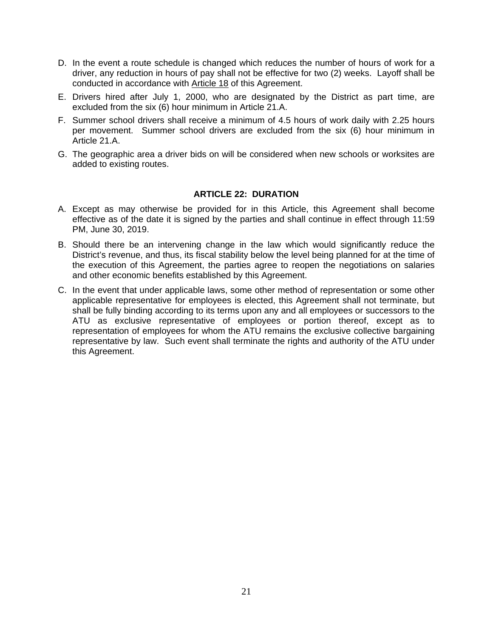- D. In the event a route schedule is changed which reduces the number of hours of work for a driver, any reduction in hours of pay shall not be effective for two (2) weeks. Layoff shall be conducted in accordance with Article 18 of this Agreement.
- E. Drivers hired after July 1, 2000, who are designated by the District as part time, are excluded from the six (6) hour minimum in Article 21.A.
- F. Summer school drivers shall receive a minimum of 4.5 hours of work daily with 2.25 hours per movement. Summer school drivers are excluded from the six (6) hour minimum in Article 21.A.
- G. The geographic area a driver bids on will be considered when new schools or worksites are added to existing routes.

#### **ARTICLE 22: DURATION**

- A. Except as may otherwise be provided for in this Article, this Agreement shall become effective as of the date it is signed by the parties and shall continue in effect through 11:59 PM, June 30, 2019.
- B. Should there be an intervening change in the law which would significantly reduce the District's revenue, and thus, its fiscal stability below the level being planned for at the time of the execution of this Agreement, the parties agree to reopen the negotiations on salaries and other economic benefits established by this Agreement.
- C. In the event that under applicable laws, some other method of representation or some other applicable representative for employees is elected, this Agreement shall not terminate, but shall be fully binding according to its terms upon any and all employees or successors to the ATU as exclusive representative of employees or portion thereof, except as to representation of employees for whom the ATU remains the exclusive collective bargaining representative by law. Such event shall terminate the rights and authority of the ATU under this Agreement.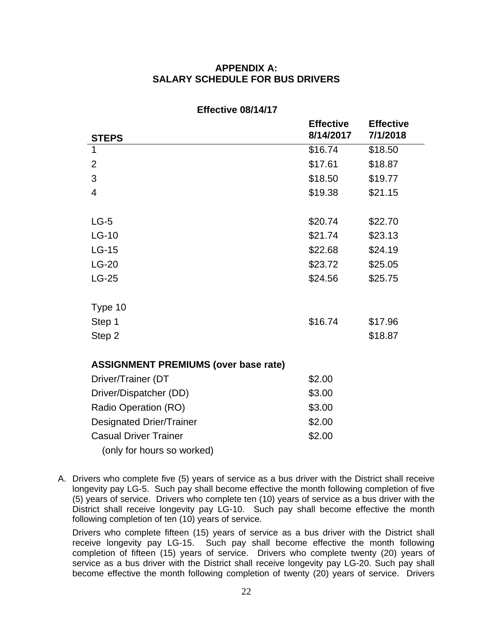## **APPENDIX A: SALARY SCHEDULE FOR BUS DRIVERS**

|                                             | <b>Effective</b> | <b>Effective</b> |
|---------------------------------------------|------------------|------------------|
| <b>STEPS</b>                                | 8/14/2017        | 7/1/2018         |
| 1                                           | \$16.74          | \$18.50          |
| 2                                           | \$17.61          | \$18.87          |
| 3                                           | \$18.50          | \$19.77          |
| $\overline{4}$                              | \$19.38          | \$21.15          |
|                                             |                  |                  |
| $LG-5$                                      | \$20.74          | \$22.70          |
| $LG-10$                                     | \$21.74          | \$23.13          |
| $LG-15$                                     | \$22.68          | \$24.19          |
| $LG-20$                                     | \$23.72          | \$25.05          |
| $LG-25$                                     | \$24.56          | \$25.75          |
|                                             |                  |                  |
| Type 10                                     |                  |                  |
| Step 1                                      | \$16.74          | \$17.96          |
| Step 2                                      |                  | \$18.87          |
|                                             |                  |                  |
| <b>ASSIGNMENT PREMIUMS (over base rate)</b> |                  |                  |
| Driver/Trainer (DT                          | \$2.00           |                  |
| Driver/Dispatcher (DD)                      | \$3.00           |                  |
| Radio Operation (RO)                        | \$3.00           |                  |
| <b>Designated Drier/Trainer</b>             | \$2.00           |                  |
| <b>Casual Driver Trainer</b>                | \$2.00           |                  |
| (only for hours so worked)                  |                  |                  |

#### **Effective 08/14/17**

A. Drivers who complete five (5) years of service as a bus driver with the District shall receive longevity pay LG-5. Such pay shall become effective the month following completion of five (5) years of service. Drivers who complete ten (10) years of service as a bus driver with the District shall receive longevity pay LG-10. Such pay shall become effective the month following completion of ten (10) years of service.

Drivers who complete fifteen (15) years of service as a bus driver with the District shall receive longevity pay LG-15. Such pay shall become effective the month following completion of fifteen (15) years of service. Drivers who complete twenty (20) years of service as a bus driver with the District shall receive longevity pay LG-20. Such pay shall become effective the month following completion of twenty (20) years of service. Drivers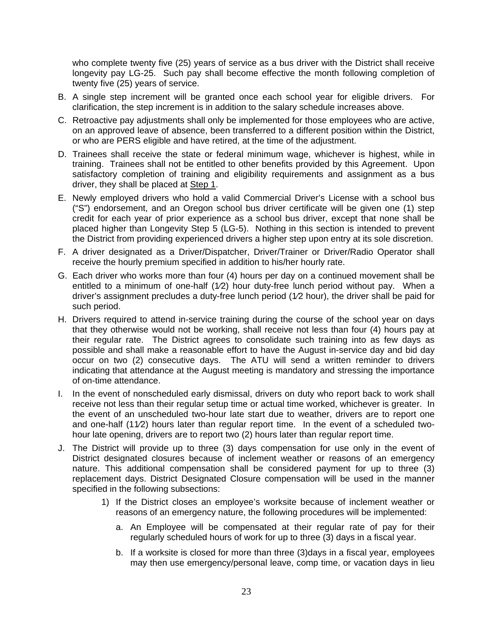who complete twenty five (25) years of service as a bus driver with the District shall receive longevity pay LG-25. Such pay shall become effective the month following completion of twenty five (25) years of service.

- B. A single step increment will be granted once each school year for eligible drivers. For clarification, the step increment is in addition to the salary schedule increases above.
- C. Retroactive pay adjustments shall only be implemented for those employees who are active, on an approved leave of absence, been transferred to a different position within the District, or who are PERS eligible and have retired, at the time of the adjustment.
- D. Trainees shall receive the state or federal minimum wage, whichever is highest, while in training. Trainees shall not be entitled to other benefits provided by this Agreement. Upon satisfactory completion of training and eligibility requirements and assignment as a bus driver, they shall be placed at Step 1.
- E. Newly employed drivers who hold a valid Commercial Driver's License with a school bus ("S") endorsement, and an Oregon school bus driver certificate will be given one (1) step credit for each year of prior experience as a school bus driver, except that none shall be placed higher than Longevity Step 5 (LG-5). Nothing in this section is intended to prevent the District from providing experienced drivers a higher step upon entry at its sole discretion.
- F. A driver designated as a Driver/Dispatcher, Driver/Trainer or Driver/Radio Operator shall receive the hourly premium specified in addition to his/her hourly rate.
- G. Each driver who works more than four (4) hours per day on a continued movement shall be entitled to a minimum of one-half (1⁄2) hour duty-free lunch period without pay. When a driver's assignment precludes a duty-free lunch period (1⁄2 hour), the driver shall be paid for such period.
- H. Drivers required to attend in-service training during the course of the school year on days that they otherwise would not be working, shall receive not less than four (4) hours pay at their regular rate. The District agrees to consolidate such training into as few days as possible and shall make a reasonable effort to have the August in-service day and bid day occur on two (2) consecutive days. The ATU will send a written reminder to drivers indicating that attendance at the August meeting is mandatory and stressing the importance of on-time attendance.
- I. In the event of nonscheduled early dismissal, drivers on duty who report back to work shall receive not less than their regular setup time or actual time worked, whichever is greater. In the event of an unscheduled two-hour late start due to weather, drivers are to report one and one-half (11⁄2) hours later than regular report time. In the event of a scheduled twohour late opening, drivers are to report two (2) hours later than regular report time.
- J. The District will provide up to three (3) days compensation for use only in the event of District designated closures because of inclement weather or reasons of an emergency nature. This additional compensation shall be considered payment for up to three (3) replacement days. District Designated Closure compensation will be used in the manner specified in the following subsections:
	- 1) If the District closes an employee's worksite because of inclement weather or reasons of an emergency nature, the following procedures will be implemented:
		- a. An Employee will be compensated at their regular rate of pay for their regularly scheduled hours of work for up to three (3) days in a fiscal year.
		- b. If a worksite is closed for more than three (3)days in a fiscal year, employees may then use emergency/personal leave, comp time, or vacation days in lieu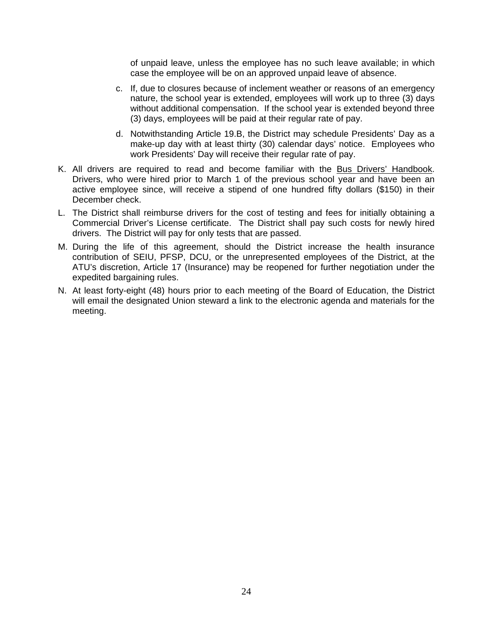of unpaid leave, unless the employee has no such leave available; in which case the employee will be on an approved unpaid leave of absence.

- c. If, due to closures because of inclement weather or reasons of an emergency nature, the school year is extended, employees will work up to three (3) days without additional compensation. If the school year is extended beyond three (3) days, employees will be paid at their regular rate of pay.
- d. Notwithstanding Article 19.B, the District may schedule Presidents' Day as a make-up day with at least thirty (30) calendar days' notice. Employees who work Presidents' Day will receive their regular rate of pay.
- K. All drivers are required to read and become familiar with the Bus Drivers' Handbook. Drivers, who were hired prior to March 1 of the previous school year and have been an active employee since, will receive a stipend of one hundred fifty dollars (\$150) in their December check.
- L. The District shall reimburse drivers for the cost of testing and fees for initially obtaining a Commercial Driver's License certificate. The District shall pay such costs for newly hired drivers. The District will pay for only tests that are passed.
- M. During the life of this agreement, should the District increase the health insurance contribution of SEIU, PFSP, DCU, or the unrepresented employees of the District, at the ATU's discretion, Article 17 (Insurance) may be reopened for further negotiation under the expedited bargaining rules.
- N. At least forty-eight (48) hours prior to each meeting of the Board of Education, the District will email the designated Union steward a link to the electronic agenda and materials for the meeting.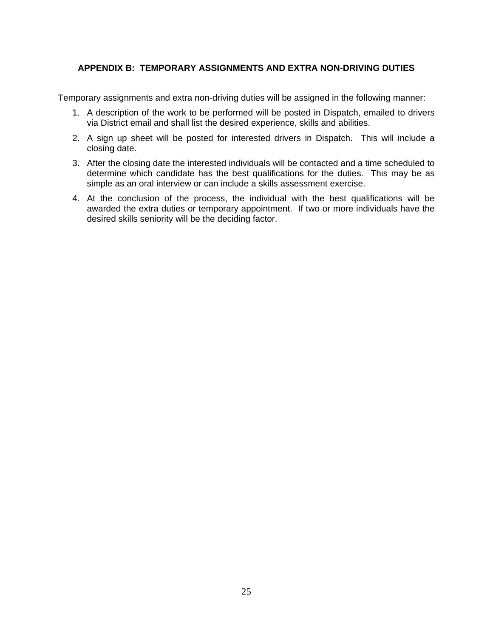## **APPENDIX B: TEMPORARY ASSIGNMENTS AND EXTRA NON-DRIVING DUTIES**

Temporary assignments and extra non-driving duties will be assigned in the following manner:

- 1. A description of the work to be performed will be posted in Dispatch, emailed to drivers via District email and shall list the desired experience, skills and abilities.
- 2. A sign up sheet will be posted for interested drivers in Dispatch. This will include a closing date.
- 3. After the closing date the interested individuals will be contacted and a time scheduled to determine which candidate has the best qualifications for the duties. This may be as simple as an oral interview or can include a skills assessment exercise.
- 4. At the conclusion of the process, the individual with the best qualifications will be awarded the extra duties or temporary appointment. If two or more individuals have the desired skills seniority will be the deciding factor.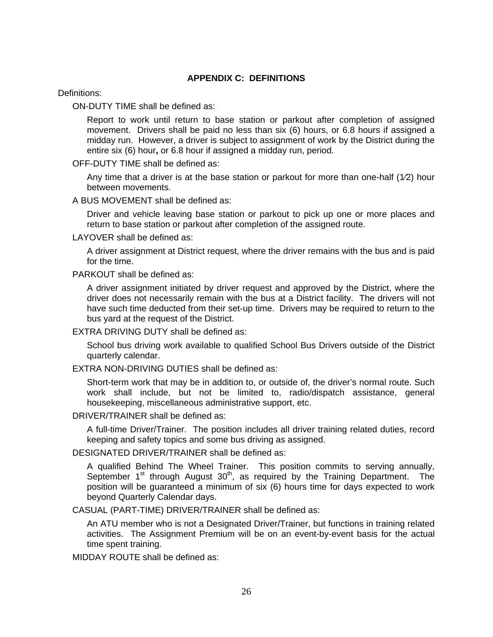#### **APPENDIX C: DEFINITIONS**

Definitions:

ON-DUTY TIME shall be defined as:

Report to work until return to base station or parkout after completion of assigned movement. Drivers shall be paid no less than six (6) hours, or 6.8 hours if assigned a midday run. However, a driver is subject to assignment of work by the District during the entire six (6) hour**,** or 6.8 hour if assigned a midday run, period.

OFF-DUTY TIME shall be defined as:

Any time that a driver is at the base station or parkout for more than one-half (1⁄2) hour between movements.

A BUS MOVEMENT shall be defined as:

Driver and vehicle leaving base station or parkout to pick up one or more places and return to base station or parkout after completion of the assigned route.

LAYOVER shall be defined as:

A driver assignment at District request, where the driver remains with the bus and is paid for the time.

PARKOUT shall be defined as:

A driver assignment initiated by driver request and approved by the District, where the driver does not necessarily remain with the bus at a District facility. The drivers will not have such time deducted from their set-up time. Drivers may be required to return to the bus yard at the request of the District.

EXTRA DRIVING DUTY shall be defined as:

School bus driving work available to qualified School Bus Drivers outside of the District quarterly calendar.

EXTRA NON-DRIVING DUTIES shall be defined as:

Short-term work that may be in addition to, or outside of, the driver's normal route. Such work shall include, but not be limited to, radio/dispatch assistance, general housekeeping, miscellaneous administrative support, etc.

DRIVER/TRAINER shall be defined as:

A full-time Driver/Trainer. The position includes all driver training related duties, record keeping and safety topics and some bus driving as assigned.

DESIGNATED DRIVER/TRAINER shall be defined as:

A qualified Behind The Wheel Trainer. This position commits to serving annually, September 1<sup>st</sup> through August 30<sup>th</sup>, as required by the Training Department. The position will be guaranteed a minimum of six (6) hours time for days expected to work beyond Quarterly Calendar days.

CASUAL (PART-TIME) DRIVER/TRAINER shall be defined as:

An ATU member who is not a Designated Driver/Trainer, but functions in training related activities. The Assignment Premium will be on an event-by-event basis for the actual time spent training.

MIDDAY ROUTE shall be defined as: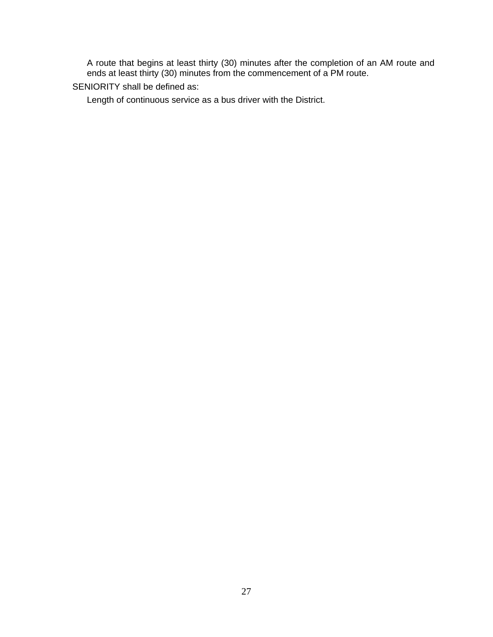A route that begins at least thirty (30) minutes after the completion of an AM route and ends at least thirty (30) minutes from the commencement of a PM route.

SENIORITY shall be defined as:

Length of continuous service as a bus driver with the District.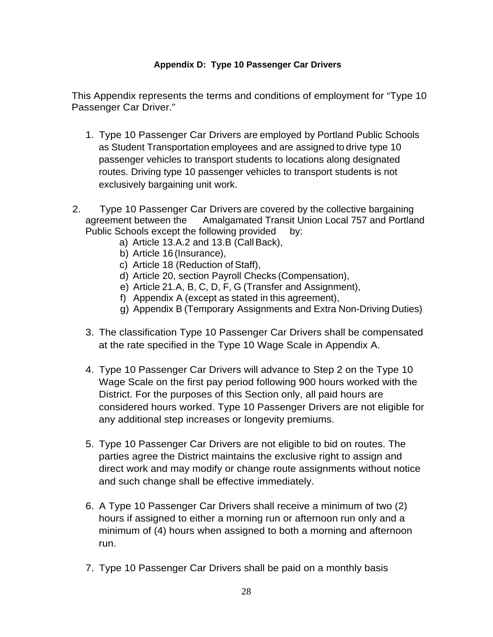## **Appendix D: Type 10 Passenger Car Drivers**

This Appendix represents the terms and conditions of employment for "Type 10 Passenger Car Driver."

- 1. Type 10 Passenger Car Drivers are employed by Portland Public Schools as Student Transportation employees and are assigned to drive type 10 passenger vehicles to transport students to locations along designated routes. Driving type 10 passenger vehicles to transport students is not exclusively bargaining unit work.
- 2. Type 10 Passenger Car Drivers are covered by the collective bargaining agreement between the Amalgamated Transit Union Local 757 and Portland Public Schools except the following provided by:
	- a) Article 13.A.2 and 13.B (Call Back),
	- b) Article 16 (Insurance),
	- c) Article 18 (Reduction of Staff),
	- d) Article 20, section Payroll Checks (Compensation),
	- e) Article 21.A, B, C, D, F, G (Transfer and Assignment),
	- f) Appendix A (except as stated in this agreement),
	- g) Appendix B (Temporary Assignments and Extra Non-Driving Duties)
	- 3. The classification Type 10 Passenger Car Drivers shall be compensated at the rate specified in the Type 10 Wage Scale in Appendix A.
	- 4. Type 10 Passenger Car Drivers will advance to Step 2 on the Type 10 Wage Scale on the first pay period following 900 hours worked with the District. For the purposes of this Section only, all paid hours are considered hours worked. Type 10 Passenger Drivers are not eligible for any additional step increases or longevity premiums.
	- 5. Type 10 Passenger Car Drivers are not eligible to bid on routes. The parties agree the District maintains the exclusive right to assign and direct work and may modify or change route assignments without notice and such change shall be effective immediately.
	- 6. A Type 10 Passenger Car Drivers shall receive a minimum of two (2) hours if assigned to either a morning run or afternoon run only and a minimum of (4) hours when assigned to both a morning and afternoon run.
	- 7. Type 10 Passenger Car Drivers shall be paid on a monthly basis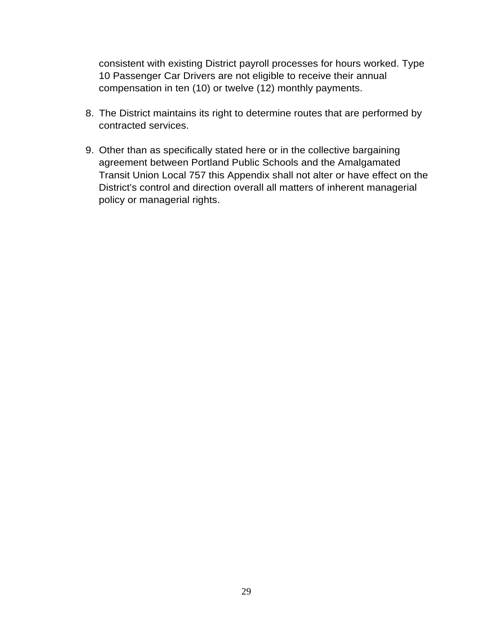consistent with existing District payroll processes for hours worked. Type 10 Passenger Car Drivers are not eligible to receive their annual compensation in ten (10) or twelve (12) monthly payments.

- 8. The District maintains its right to determine routes that are performed by contracted services.
- 9. Other than as specifically stated here or in the collective bargaining agreement between Portland Public Schools and the Amalgamated Transit Union Local 757 this Appendix shall not alter or have effect on the District's control and direction overall all matters of inherent managerial policy or managerial rights.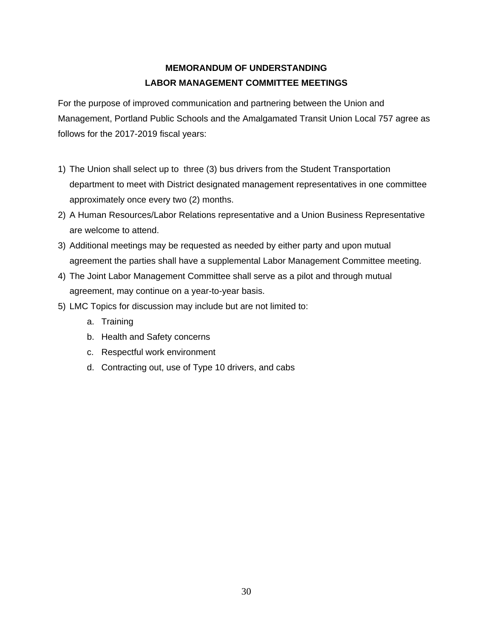## **MEMORANDUM OF UNDERSTANDING LABOR MANAGEMENT COMMITTEE MEETINGS**

For the purpose of improved communication and partnering between the Union and Management, Portland Public Schools and the Amalgamated Transit Union Local 757 agree as follows for the 2017-2019 fiscal years:

- 1) The Union shall select up to three (3) bus drivers from the Student Transportation department to meet with District designated management representatives in one committee approximately once every two (2) months.
- 2) A Human Resources/Labor Relations representative and a Union Business Representative are welcome to attend.
- 3) Additional meetings may be requested as needed by either party and upon mutual agreement the parties shall have a supplemental Labor Management Committee meeting.
- 4) The Joint Labor Management Committee shall serve as a pilot and through mutual agreement, may continue on a year-to-year basis.
- 5) LMC Topics for discussion may include but are not limited to:
	- a. Training
	- b. Health and Safety concerns
	- c. Respectful work environment
	- d. Contracting out, use of Type 10 drivers, and cabs